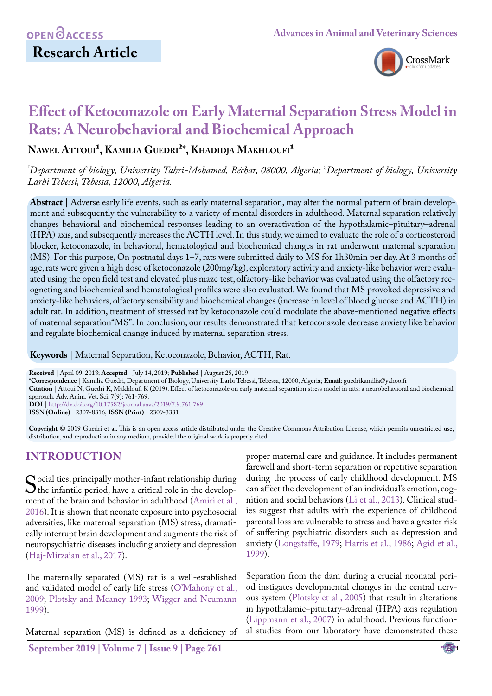# **Research Article**



# **Effect of Ketoconazole on Early Maternal Separation Stress Model in Rats: A Neurobehavioral and Biochemical Approach**

NAWEL ATTOUI<sup>1</sup>, KAMILIA GUEDRI<sup>2\*</sup>, KHADIDJA MAKHLOUFI<sup>1</sup>

*¹ Department of biology, University Tahri-Mohamed, Béchar, 08000, Algeria; 2 Department of biology, University Larbi Tebessi, Tebessa, 12000, Algeria.*

**Abstract** | Adverse early life events, such as early maternal separation, may alter the normal pattern of brain development and subsequently the vulnerability to a variety of mental disorders in adulthood. Maternal separation relatively changes behavioral and biochemical responses leading to an overactivation of the hypothalamic–pituitary–adrenal (HPA) axis, and subsequently increases the ACTH level. In this study, we aimed to evaluate the role of a corticosteroid blocker, ketoconazole, in behavioral, hematological and biochemical changes in rat underwent maternal separation (MS). For this purpose, On postnatal days 1–7, rats were submitted daily to MS for 1h30min per day. At 3 months of age, rats were given a high dose of ketoconazole (200mg/kg), exploratory activity and anxiety-like behavior were evaluated using the open field test and elevated plus maze test, olfactory-like behavior was evaluated using the olfactory recogneting and biochemical and hematological profiles were also evaluated. We found that MS provoked depressive and anxiety-like behaviors, olfactory sensibility and biochemical changes (increase in level of blood glucose and ACTH) in adult rat. In addition, treatment of stressed rat by ketoconazole could modulate the above-mentioned negative effects of maternal separation"MS". In conclusion, our results demonstrated that ketoconazole decrease anxiety like behavior and regulate biochemical change induced by maternal separation stress.

**Keywords** | Maternal Separation, Ketoconazole, Behavior, ACTH, Rat.

**Received** | April 09, 2018; **Accepted** | July 14, 2019; **Published** | August 25, 2019

**\*Correspondence** | Kamilia Guedri, Department of Biology, University Larbi Tebessi, Tebessa, 12000, Algeria; **Email**: guedrikamilia@yahoo.fr

**Citation** | Attoui N, Guedri K, Makhloufi K (2019). Effect of ketoconazole on early maternal separation stress model in rats: a neurobehavioral and biochemical approach. Adv. Anim. Vet. Sci. 7(9): 761-769.

**DOI** | [http://dx.doi.org/10.17582/journal.aavs/2019](http://dx.doi.org/10.17582/journal.aavs/2019/7.9.761.769)/7.9.761.769

**ISSN (Online)** | 2307-8316; **ISSN (Print)** | 2309-3331

**Copyright** © 2019 Guedri et al. This is an open access article distributed under the Creative Commons Attribution License, which permits unrestricted use, distribution, and reproduction in any medium, provided the original work is properly cited.

# **INTRODUCTION**

Social ties, principally mother-infant relationship during<br>the infantile period, have a critical role in the develop-<br>ment of the brain and behavior in adulthood (Amiri et al. ment of the brain and behavior in adulthood ([Amiri et al.,](#page-6-0)  [2016](#page-6-0)). It is shown that neonate exposure into psychosocial adversities, like maternal separation (MS) stress, dramatically interrupt brain development and augments the risk of neuropsychiatric diseases including anxiety and depression ([Haj-Mirzaian et al., 2017\)](#page-6-1).

The maternally separated (MS) rat is a well-established and validated model of early life stress (O'Mahony et al., 2009; [Plotsky and Meaney 1993](#page-7-0); Wigger and Neumann 1999).

Maternal separation (MS) is defined as a deficiency of

**September 2019 | Volume 7 | Issue 9 | Page 761**

proper maternal care and guidance. It includes permanent farewell and short-term separation or repetitive separation during the process of early childhood development. MS can affect the development of an individual's emotion, cognition and social behaviors [\(Li et al., 2013\)](#page-7-1). Clinical studies suggest that adults with the experience of childhood parental loss are vulnerable to stress and have a greater risk of suffering psychiatric disorders such as depression and anxiety [\(Longstaffe, 1979](#page-7-2); [Harris et al., 1986](#page-6-2); [Agid et al.,](#page-6-3) [1999\)](#page-6-3).

Separation from the dam during a crucial neonatal period instigates developmental changes in the central nervous system [\(Plotsky et al., 2005](#page-7-3)) that result in alterations in hypothalamic–pituitary–adrenal (HPA) axis regulation ([Lippmann et al., 2007](#page-7-4)) in adulthood. Previous functional studies from our laboratory have demonstrated these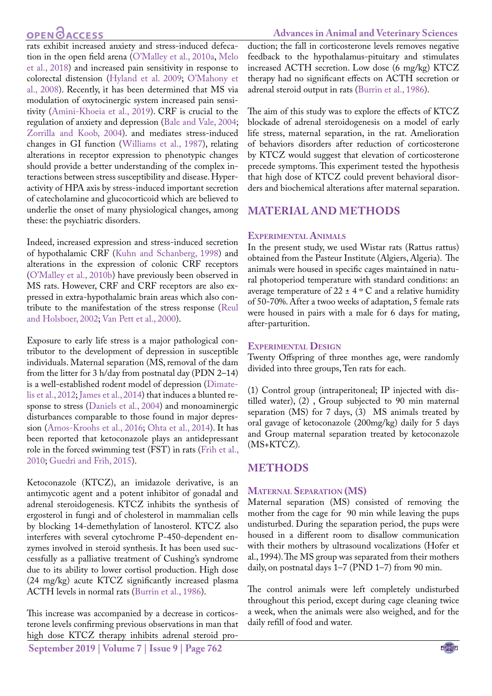# **OPEN**OACCESS

rats exhibit increased anxiety and stress-induced defecation in the open field arena (O'Malley et al., 2010a, [Melo](#page-7-5) [et al., 2018\)](#page-7-5) and increased pain sensitivity in response to colorectal distension (Hyland et al. 2009; O'Mahony et al., 2008). Recently, it has been determined that MS via modulation of oxytocinergic system increased pain sensitivity ([Amini-Khoeia et al., 2019\)](#page-6-4). CRF is crucial to the regulation of anxiety and depression [\(Bale and Vale, 2004;](#page-6-5) Zorrilla and Koob, 2004). and mediates stress-induced changes in GI function (Williams et al., 1987), relating alterations in receptor expression to phenotypic changes should provide a better understanding of the complex interactions between stress susceptibility and disease. Hyperactivity of HPA axis by stress-induced important secretion of catecholamine and glucocorticoid which are believed to underlie the onset of many physiological changes, among these: the psychiatric disorders.

Indeed, increased expression and stress-induced secretion of hypothalamic CRF ([Kuhn and Schanberg, 1998](#page-7-6)) and alterations in the expression of colonic CRF receptors (O'Malley et al., 2010b) have previously been observed in MS rats. However, CRF and CRF receptors are also expressed in extra-hypothalamic brain areas which also contribute to the manifestation of the stress response ([Reul](#page-8-0) [and Holsboer, 2002;](#page-8-0) Van Pett et al., 2000).

Exposure to early life stress is a major pathological contributor to the development of depression in susceptible individuals. Maternal separation (MS, removal of the dam from the litter for 3 h/day from postnatal day (PDN 2–14) is a well-established rodent model of depression [\(Dimate](#page-6-6)[lis et al., 2012](#page-6-6); [James et al., 2014](#page-6-7)) that induces a blunted response to stress [\(Daniels et al., 2004](#page-6-8)) and monoaminergic disturbances comparable to those found in major depression [\(Amos-Kroohs et al., 2016;](#page-5-0) [Ohta et al., 2014](#page-7-7)). It has been reported that ketoconazole plays an antidepressant role in the forced swimming test (FST) in rats [\(Frih et al.,](#page-6-9) [2010](#page-6-9); [Guedri and Frih, 2015](#page-6-10)).

Ketoconazole (KTCZ), an imidazole derivative, is an antimycotic agent and a potent inhibitor of gonadal and adrenal steroidogenesis. KTCZ inhibits the synthesis of ergosterol in fungi and of cholesterol in mammalian cells by blocking 14-demethylation of lanosterol. KTCZ also interferes with several cytochrome P-450-dependent enzymes involved in steroid synthesis. It has been used successfully as a palliative treatment of Cushing's syndrome due to its ability to lower cortisol production. High dose (24 mg/kg) acute KTCZ significantly increased plasma ACTH levels in normal rats [\(Burrin et al., 1986](#page-6-11)).

**September 2019 | Volume 7 | Issue 9 | Page 762** This increase was accompanied by a decrease in corticosterone levels confirming previous observations in man that high dose KTCZ therapy inhibits adrenal steroid pro-

#### **Advances in Animal and Veterinary Sciences**

duction; the fall in corticosterone levels removes negative feedback to the hypothalamus-pituitary and stimulates increased ACTH secretion. Low dose (6 mg/kg) KTCZ therapy had no significant effects on ACTH secretion or adrenal steroid output in rats [\(Burrin et al., 1986\)](#page-6-11).

The aim of this study was to explore the effects of KTCZ blockade of adrenal steroidogenesis on a model of early life stress, maternal separation, in the rat. Amelioration of behaviors disorders after reduction of corticosterone by KTCZ would suggest that elevation of corticosterone precede symptoms. This experiment tested the hypothesis that high dose of KTCZ could prevent behavioral disorders and biochemical alterations after maternal separation.

### **MATERIAL AND METHODS**

#### **Experimental Animals**

In the present study, we used Wistar rats (Rattus rattus) obtained from the Pasteur Institute (Algiers, Algeria). The animals were housed in specific cages maintained in natural photoperiod temperature with standard conditions: an average temperature of  $22 \pm 4$  ° C and a relative humidity of 50-70%. After a twoo weeks of adaptation, 5 female rats were housed in pairs with a male for 6 days for mating, after-parturition.

#### **Experimental Design**

Twenty Offspring of three monthes age, were randomly divided into three groups, Ten rats for each.

(1) Control group (intraperitoneal; IP injected with distilled water), (2) , Group subjected to 90 min maternal separation (MS) for 7 days, (3) MS animals treated by oral gavage of ketoconazole (200mg/kg) daily for 5 days and Group maternal separation treated by ketoconazole (MS+KTCZ).

### **METHODS**

#### **Maternal Separation (MS)**

Maternal separation (MS) consisted of removing the mother from the cage for 90 min while leaving the pups undisturbed. During the separation period, the pups were housed in a different room to disallow communication with their mothers by ultrasound vocalizations (Hofer et al., 1994). The MS group was separated from their mothers daily, on postnatal days 1–7 (PND 1–7) from 90 min.

The control animals were left completely undisturbed throughout this period, except during cage cleaning twice a week, when the animals were also weighed, and for the daily refill of food and water.

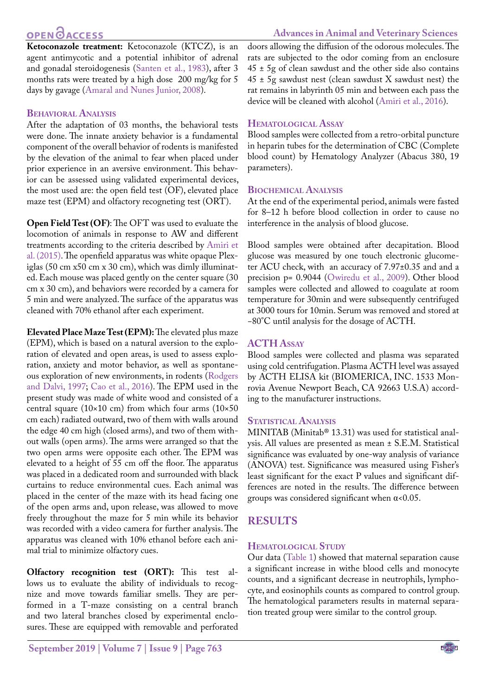# **OPEN**<sub>d</sub>

**Ketoconazole treatment:** Ketoconazole (KTCZ), is an agent antimycotic and a potential inhibitor of adrenal and gonadal steroidogenesis ([Santen et al., 1983](#page-8-1)), after 3 months rats were treated by a high dose 200 mg/kg for 5 days by gavage [\(Amaral and Nunes Junior, 2008\)](#page-5-1).

# **Behavioral Analysis**

After the adaptation of 03 months, the behavioral tests were done. The innate anxiety behavior is a fundamental component of the overall behavior of rodents is manifested by the elevation of the animal to fear when placed under prior experience in an aversive environment. This behavior can be assessed using validated experimental devices, the most used are: the open field test (OF), elevated place maze test (EPM) and olfactory recogneting test (ORT).

**Open Field Test (OF)**: The OFT was used to evaluate the locomotion of animals in response to AW and different treatments according to the criteria described by [Amiri et](#page-6-12) [al. \(2015\).](#page-6-12) The openfield apparatus was white opaque Plexiglas (50 cm x50 cm x 30 cm), which was dimly illuminated. Each mouse was placed gently on the center square (30 cm x 30 cm), and behaviors were recorded by a camera for 5 min and were analyzed. The surface of the apparatus was cleaned with 70% ethanol after each experiment.

**Elevated Place Maze Test (EPM):** The elevated plus maze (EPM), which is based on a natural aversion to the exploration of elevated and open areas, is used to assess exploration, anxiety and motor behavior, as well as spontaneous exploration of new environments, in rodents ([Rodgers](#page-8-2) [and Dalvi, 1997;](#page-8-2) [Cao et al., 2016](#page-6-13)). The EPM used in the present study was made of white wood and consisted of a central square (10×10 cm) from which four arms (10×50 cm each) radiated outward, two of them with walls around the edge 40 cm high (closed arms), and two of them without walls (open arms). The arms were arranged so that the two open arms were opposite each other. The EPM was elevated to a height of 55 cm off the floor. The apparatus was placed in a dedicated room and surrounded with black curtains to reduce environmental cues. Each animal was placed in the center of the maze with its head facing one of the open arms and, upon release, was allowed to move freely throughout the maze for 5 min while its behavior was recorded with a video camera for further analysis. The apparatus was cleaned with 10% ethanol before each animal trial to minimize olfactory cues.

**Olfactory recognition test (ORT):** This test allows us to evaluate the ability of individuals to recognize and move towards familiar smells. They are performed in a T-maze consisting on a central branch and two lateral branches closed by experimental enclosures. These are equipped with removable and perforated

doors allowing the diffusion of the odorous molecules. The rats are subjected to the odor coming from an enclosure  $45 \pm 5$ g of clean sawdust and the other side also contains  $45 \pm 5$ g sawdust nest (clean sawdust X sawdust nest) the rat remains in labyrinth 05 min and between each pass the device will be cleaned with alcohol ([Amiri et al., 2016](#page-6-0)).

### **Hematological Assay**

Blood samples were collected from a retro-orbital puncture in heparin tubes for the determination of CBC (Complete blood count) by Hematology Analyzer (Abacus 380, 19 parameters).

# **Biochemical Analysis**

At the end of the experimental period, animals were fasted for 8–12 h before blood collection in order to cause no interference in the analysis of blood glucose.

Blood samples were obtained after decapitation. Blood glucose was measured by one touch electronic glucometer ACU check, with an accuracy of 7.97±0.35 and and a precision p= 0.9044 [\(Owiredu et al., 2009](#page-7-8)). Other blood samples were collected and allowed to coagulate at room temperature for 30min and were subsequently centrifuged at 3000 tours for 10min. Serum was removed and stored at −80°C until analysis for the dosage of ACTH.

### **ACTH Assay**

Blood samples were collected and plasma was separated using cold centrifugation. Plasma ACTH level was assayed by ACTH ELISA kit (BIOMERICA, INC. 1533 Monrovia Avenue Newport Beach, CA 92663 U.S.A) according to the manufacturer instructions.

### **Statistical Analysis**

MINITAB (Minitab® 13.31) was used for statistical analysis. All values are presented as mean ± S.E.M. Statistical significance was evaluated by one-way analysis of variance (ANOVA) test. Significance was measured using Fisher's least significant for the exact P values and significant differences are noted in the results. The difference between groups was considered significant when  $\alpha$ <0.05.

# **RESULTS**

### **Hematological Study**

Our data (Table 1) showed that maternal separation cause a significant increase in withe blood cells and monocyte counts, and a significant decrease in neutrophils, lymphocyte, and eosinophils counts as compared to control group. The hematological parameters results in maternal separation treated group were similar to the control group.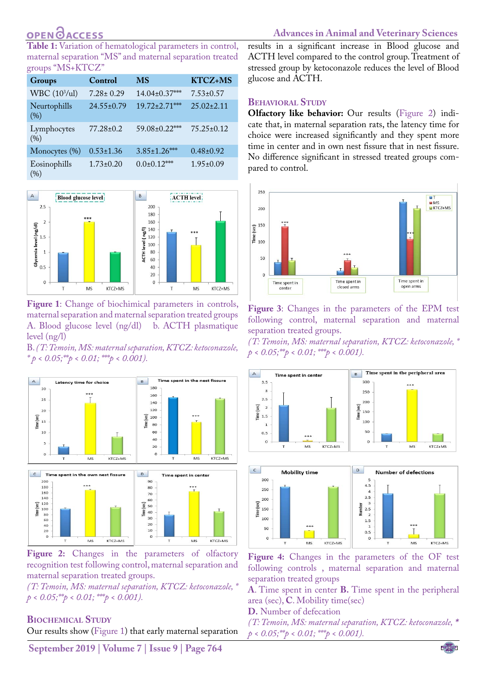# **OPEN OACCESS**

**Table 1:** Variation of hematological parameters in control, maternal separation "MS" and maternal separation treated groups "MS+KTCZ"

| <b>Groups</b>             | Control          | <b>MS</b>            | <b>KTCZ+MS</b>   |
|---------------------------|------------------|----------------------|------------------|
| WBC (10 <sup>3</sup> /ul) | $7.28 \pm 0.29$  | 14.04±0.37***        | $7.53 \pm 0.57$  |
| Neurtophills<br>(%)       | $24.55 \pm 0.79$ | $19.72 \pm 2.71$ *** | $25.02 \pm 2.11$ |
| Lymphocytes<br>(96)       | $77.28 \pm 0.2$  | 59.08±0.22***        | $75.25 \pm 0.12$ |
| Monocytes (%)             | $0.53 \pm 1.36$  | $3.85 \pm 1.26$ ***  | $0.48\pm0.92$    |
| Eosinophills<br>(%)       | $1.73 \pm 0.20$  | $0.0\pm0.12***$      | $1.95 \pm 0.09$  |



<span id="page-3-0"></span>**Figure 1**: Change of biochimical parameters in controls, maternal separation and maternal separation treated groups A. Blood glucose level (ng/dl) b. ACTH plasmatique level (ng/l)

B. *(T: Temoin, MS: maternal separation, KTCZ: ketoconazole,*   $*_{p} < 0.05; **_{p} < 0.01; **_{p} < 0.001$ .



<span id="page-3-1"></span>Figure 2: Changes in the parameters of olfactory recognition test following control, maternal separation and maternal separation treated groups.

*(T: Temoin, MS: maternal separation, KTCZ: ketoconazole, \**   $p < 0.05$ ; \*\* $p < 0.01$ ; \*\* $p < 0.001$ ).

#### **Biochemical Study**

Our results show ([Figure 1\)](#page-3-0) that early maternal separation

results in a significant increase in Blood glucose and ACTH level compared to the control group. Treatment of stressed group by ketoconazole reduces the level of Blood glucose and ACTH.

#### **Behavioral Study**

**Olfactory like behavior:** Our results [\(Figure 2\)](#page-3-1) indicate that, in maternal separation rats, the latency time for choice were increased significantly and they spent more time in center and in own nest fissure that in nest fissure. No difference significant in stressed treated groups compared to control.



<span id="page-3-2"></span>**Figure 3**: Changes in the parameters of the EPM test following control, maternal separation and maternal separation treated groups.

*(T: Temoin, MS: maternal separation, KTCZ: ketoconazole, \**   $p < 0.05$ ; \*\* $p < 0.01$ ; \*\*\* $p < 0.001$ ).



<span id="page-3-3"></span>**Figure 4:** Changes in the parameters of the OF test following controls , maternal separation and maternal separation treated groups

KTCZ+MS

 $MS$ 

**A**. Time spent in center **B.** Time spent in the peripheral area (sec), **C**. Mobility time(sec)

- **D.** Number of defecation
- *(T: Temoin, MS: maternal separation, KTCZ: ketoconazole, \**   $p < 0.05$ ; \*\* $p < 0.01$ ; \*\*\* $p < 0.001$ ).

**September 2019 | Volume 7 | Issue 9 | Page 764**

**MS** 

KTCZ+MS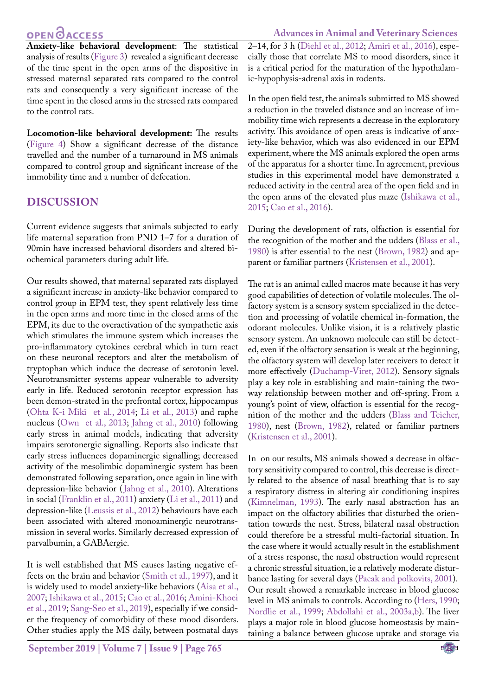# OPEN <u>OACCESS</u>

**Advances in Animal and Veterinary Sciences**

**Anxiety-like behavioral development**: The statistical analysis of results ([Figure 3](#page-3-2)) revealed a significant decrease of the time spent in the open arms of the dispositive in stressed maternal separated rats compared to the control rats and consequently a very significant increase of the time spent in the closed arms in the stressed rats compared to the control rats.

**Locomotion-like behavioral development:** The results [\(Figure 4\)](#page-3-3) Show a significant decrease of the distance travelled and the number of a turnaround in MS animals compared to control group and significant increase of the immobility time and a number of defecation.

# **DISCUSSION**

Current evidence suggests that animals subjected to early life maternal separation from PND 1–7 for a duration of 90min have increased behavioral disorders and altered biochemical parameters during adult life.

Our results showed, that maternal separated rats displayed a significant increase in anxiety-like behavior compared to control group in EPM test, they spent relatively less time in the open arms and more time in the closed arms of the EPM, its due to the overactivation of the sympathetic axis which stimulates the immune system which increases the pro-inflammatory cytokines cerebral which in turn react on these neuronal receptors and alter the metabolism of tryptophan which induce the decrease of serotonin level. Neurotransmitter systems appear vulnerable to adversity early in life. Reduced serotonin receptor expression has been demon-strated in the prefrontal cortex, hippocampus [\(Ohta K-i Miki et al., 2014](#page-7-7)[; Li et al., 2013](#page-7-1)) and raphe nucleus [\(Own et al., 2013](#page-7-9); [Jahng et al., 2010](#page-7-10)) following early stress in animal models, indicating that adversity impairs serotonergic signalling. Reports also indicate that early stress influences dopaminergic signalling; decreased activity of the mesolimbic dopaminergic system has been demonstrated following separation, once again in line with depression-like behavior ([Jahng et al., 2010](#page-7-10)). Alterations in social [\(Franklin et al., 2011\)](#page-6-14) anxiety ([Li et al., 2011\)](#page-7-1) and depression-like ([Leussis et al., 2012](#page-7-11)) behaviours have each been associated with altered monoaminergic neurotransmission in several works. Similarly decreased expression of parvalbumin, a GABAergic.

It is well established that MS causes lasting negative effects on the brain and behavior ([Smith et al., 1997](#page-8-3)), and it is widely used to model anxiety-like behaviors (Aisa et al., 2007; [Ishikawa et al., 2015](#page-6-7)[; Cao et al., 2016](#page-6-13); [Amini-Khoei](#page-6-4) [et al., 2019](#page-6-4); [Sang-Seo et al., 2019\)](#page-8-4), especially if we consider the frequency of comorbidity of these mood disorders. Other studies apply the MS daily, between postnatal days

**September 2019 | Volume 7 | Issue 9 | Page 765**

2–14, for 3 h ([Diehl et al., 2012](#page-6-15); [Amiri et al., 2016\)](#page-6-0), especially those that correlate MS to mood disorders, since it is a critical period for the maturation of the hypothalamic-hypophysis-adrenal axis in rodents.

In the open field test, the animals submitted to MS showed a reduction in the traveled distance and an increase of immobility time wich represents a decrease in the exploratory activity. This avoidance of open areas is indicative of anxiety-like behavior, which was also evidenced in our EPM experiment, where the MS animals explored the open arms of the apparatus for a shorter time. In agreement, previous studies in this experimental model have demonstrated a reduced activity in the central area of the open field and in the open arms of the elevated plus maze ([Ishikawa et al.,](#page-6-7)  [2015](#page-6-7); [Cao et al., 2016\)](#page-6-13).

During the development of rats, olfaction is essential for the recognition of the mother and the udders ([Blass et al.,](#page-6-16)  [1980](#page-6-16)) is after essential to the nest [\(Brown, 1982](#page-6-17)) and apparent or familiar partners [\(Kristensen et al., 2001](#page-7-12)).

The rat is an animal called macros mate because it has very good capabilities of detection of volatile molecules. The olfactory system is a sensory system specialized in the detection and processing of volatile chemical in-formation, the odorant molecules. Unlike vision, it is a relatively plastic sensory system. An unknown molecule can still be detected, even if the olfactory sensation is weak at the beginning, the olfactory system will develop later receivers to detect it more effectively [\(Duchamp-Viret, 2012\)](#page-6-18). Sensory signals play a key role in establishing and main-taining the twoway relationship between mother and off-spring. From a young's point of view, olfaction is essential for the recognition of the mother and the udders [\(Blass and Teicher,](#page-6-16)  [1980](#page-6-16)), nest [\(Brown, 1982](#page-6-17)), related or familiar partners ([Kristensen et al., 2001\)](#page-7-12).

In on our results, MS animals showed a decrease in olfactory sensitivity compared to control, this decrease is directly related to the absence of nasal breathing that is to say a respiratory distress in altering air conditioning inspires ([Kimnelman, 1993\)](#page-7-13). The early nasal abstraction has an impact on the olfactory abilities that disturbed the orientation towards the nest. Stress, bilateral nasal obstruction could therefore be a stressful multi-factorial situation. In the case where it would actually result in the establishment of a stress response, the nasal obstruction would represent a chronic stressful situation, ie a relatively moderate disturbance lasting for several days [\(Pacak and polkovits, 2001\)](#page-7-14). Our result showed a remarkable increase in blood glucose level in MS animals to controls. According to ([Hers, 1990](#page-6-19); [Nordlie et al., 1999](#page-7-15); Abdollahi et al., 2003a[,b](#page-5-2)). The liver plays a major role in blood glucose homeostasis by maintaining a balance between glucose uptake and storage via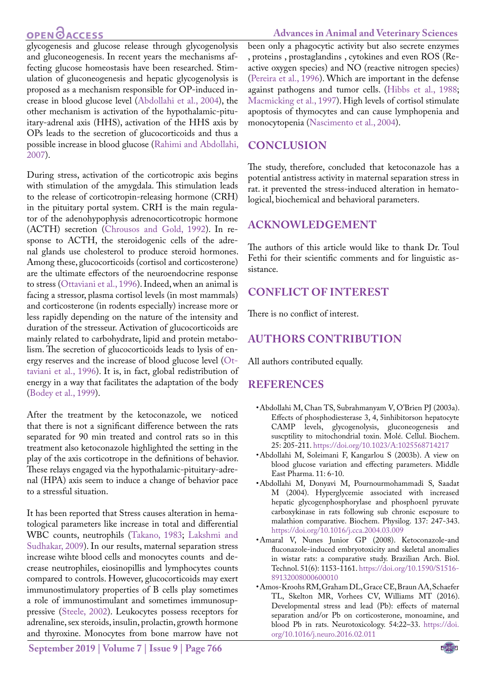# **OPEN**OACCESS

glycogenesis and glucose release through glycogenolysis and gluconeogenesis. In recent years the mechanisms affecting glucose homeostasis have been researched. Stimulation of gluconeogenesis and hepatic glycogenolysis is proposed as a mechanism responsible for OP-induced increase in blood glucose level ([Abdollahi et al., 2004\)](#page-5-3), the other mechanism is activation of the hypothalamic-pituitary-adrenal axis (HHS), activation of the HHS axis by OPs leads to the secretion of glucocorticoids and thus a possible increase in blood glucose ([Rahimi and Abdollahi,](#page-7-16) [2007\)](#page-7-16).

During stress, activation of the corticotropic axis begins with stimulation of the amygdala. This stimulation leads to the release of corticotropin-releasing hormone (CRH) in the pituitary portal system. CRH is the main regulator of the adenohypophysis adrenocorticotropic hormone (ACTH) secretion ([Chrousos and Gold, 1992\)](#page-6-20). In response to ACTH, the steroidogenic cells of the adrenal glands use cholesterol to produce steroid hormones. Among these, glucocorticoids (cortisol and corticosterone) are the ultimate effectors of the neuroendocrine response to stress ([Ottaviani et al., 1996\)](#page-7-17). Indeed, when an animal is facing a stressor, plasma cortisol levels (in most mammals) and corticosterone (in rodents especially) increase more or less rapidly depending on the nature of the intensity and duration of the stresseur. Activation of glucocorticoids are mainly related to carbohydrate, lipid and protein metabolism. The secretion of glucocorticoids leads to lysis of energy reserves and the increase of blood glucose level [\(Ot](#page-7-17)[taviani et al., 1996](#page-7-17)). It is, in fact, global redistribution of energy in a way that facilitates the adaptation of the body [\(Bodey et al., 1999](#page-6-21)).

After the treatment by the ketoconazole, we noticed that there is not a significant difference between the rats separated for 90 min treated and control rats so in this treatment also ketoconazole highlighted the setting in the play of the axis corticotrope in the definitions of behavior. These relays engaged via the hypothalamic-pituitary-adrenal (HPA) axis seem to induce a change of behavior pace to a stressful situation.

It has been reported that Stress causes alteration in hematological parameters like increase in total and differential WBC counts, neutrophils (Takano, 1983; [Lakshmi and](#page-7-18) [Sudhakar, 2009](#page-7-18)). In our results, maternal separation stress increase wihte blood cells and monocytes counts and decrease neutrophiles, eiosinopillis and lymphocytes counts compared to controls. However, glucocorticoids may exert immunostimulatory properties of B cells play sometimes a role of immunostimulant and sometimes immunosuppressive ([Steele, 2002\)](#page-8-5). Leukocytes possess receptors for adrenaline, sex steroids, insulin, prolactin, growth hormone and thyroxine. Monocytes from bone marrow have not

been only a phagocytic activity but also secrete enzymes , proteins , prostaglandins , cytokines and even ROS (Reactive oxygen species) and NO (reactive nitrogen species) (Pereira et al., 1996). Which are important in the defense against pathogens and tumor cells. ([Hibbs et al., 1988](#page-6-22); [Macmicking et al., 1997\)](#page-7-19). High levels of cortisol stimulate apoptosis of thymocytes and can cause lymphopenia and monocytopenia (Nascimento et al., 2004).

### **CONCLUSION**

The study, therefore, concluded that ketoconazole has a potential antistress activity in maternal separation stress in rat. it prevented the stress-induced alteration in hematological, biochemical and behavioral parameters.

# **ACKNOWLEDGEMENT**

The authors of this article would like to thank Dr. Toul Fethi for their scientific comments and for linguistic assistance.

# **CONFLICT OF INTEREST**

There is no conflict of interest.

# **AUTHORS CONTRIBUTION**

All authors contributed equally.

### **REFERENCES**

- • Abdollahi M, Chan TS, Subrahmanyam V, O'Brien PJ (2003a). Effects of phosphodiesterase 3, 4, 5inhibitorson hepatocyte CAMP levels, glycogenolysis, gluconeogenesis and suscptility to mitochondrial toxin. Molé. Cellul. Biochem. 25: 205-211[. https://doi.org/10.1023/A:1025568714217]( https://doi.org/10.1023/A:1025568714217 )
- <span id="page-5-2"></span>• Abdollahi M, Soleimani F, Kangarlou S (2003b). A view on blood glucose variation and effecting parameters. Middle East Pharma. 11: 6-10.
- <span id="page-5-3"></span>• Abdollahi M, Donyavi M, Pournourmohammadi S, Saadat M (2004). Hyperglycemie associated with increased hepatic glycogenphosphorylase and phosphoenl pyruvate carboxykinase in rats following sub chronic escposure to malathion comparative. Biochem. Physilog. 137: 247-343. [https://doi.org/10.1016/j.cca.2004.03.009](https://doi.org/10.1016/j.cca.2004.03.009 )
- <span id="page-5-1"></span>• Amaral V, Nunes Junior GP (2008). Ketoconazole-and fluconazole-induced embryotoxicity and skeletal anomalies in wistar rats: a comparative study. Brazilian Arch. Biol. Technol. 51(6): 1153-1161. [https://doi.org/10.1590/S1516-](https://doi.org/10.1590/S1516-89132008000600010 ) [89132008000600010](https://doi.org/10.1590/S1516-89132008000600010 )
- <span id="page-5-0"></span>• Amos-Kroohs RM, Graham DL, Grace CE, Braun AA, Schaefer TL, Skelton MR, Vorhees CV, Williams MT (2016). Developmental stress and lead (Pb): effects of maternal separation and/or Pb on corticosterone, monoamine, and blood Pb in rats. Neurotoxicology. 54:22–33. [https://doi.](https://doi.org/10.1016/j.neuro.2016.02.011 ) [org/10.1016/j.neuro.2016.02.011](https://doi.org/10.1016/j.neuro.2016.02.011 )

**September 2019 | Volume 7 | Issue 9 | Page 766**

#### **Advances in Animal and Veterinary Sciences**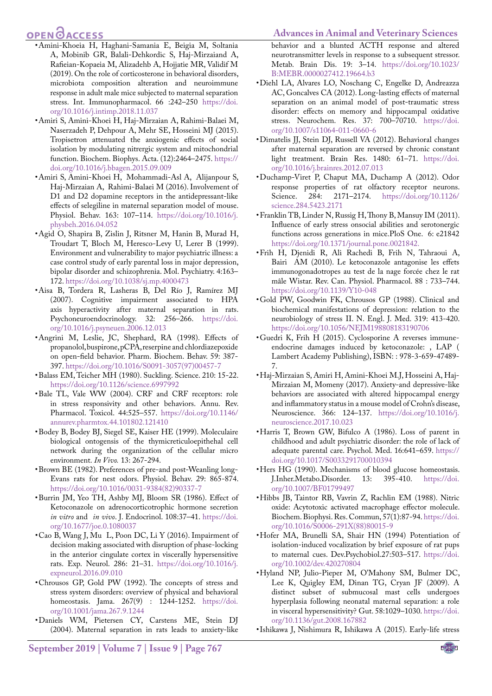#### **Advances in Animal and Veterinary Sciences**

# **OPEN**OACCESS

- <span id="page-6-4"></span>• Amini-Khoeia H, Haghani-Samania E, Beigia M, Soltania A, Mobinib GR, Balali-Dehkordic S, Haj-Mirzaiand A, Rafieian-Kopaeia M, Alizadehb A, Hojjatie MR, Validif M (2019). On the role of corticosterone in behavioral disorders, microbiota composition alteration and neuroimmune response in adult male mice subjected to maternal separation stress. Int. Immunopharmacol. 66 :242–250 [https://doi.](https://doi.org/10.1016/j.intimp.2018.11.037 ) [org/10.1016/j.intimp.2018.11.037](https://doi.org/10.1016/j.intimp.2018.11.037 )
- <span id="page-6-12"></span>• Amiri S, Amini-Khoei H, Haj-Mirzaian A, Rahimi-Balaei M, Naserzadeh P, Dehpour A, Mehr SE, Hosseini MJ (2015). Tropisetron attenuated the anxiogenic effects of social isolation by modulating nitrergic system and mitochondrial function. Biochem. Biophys. Acta. (12):2464–2475. [https://](https://doi.org/10.1016/j.bbagen.2015.09.009 ) [doi.org/10.1016/j.bbagen.2015.09.009](https://doi.org/10.1016/j.bbagen.2015.09.009 )
- <span id="page-6-0"></span>• Amiri S, Amini-Khoei H, Mohammadi-Asl A, Alijanpour S, Haj-Mirzaian A, Rahimi-Balaei M (2016). Involvement of D1 and D2 dopamine receptors in the antidepressant-like effects of selegiline in maternal separation model of mouse. Physiol. Behav. 163: 107–114. [https://doi.org/10.1016/j.](https://doi.org/10.1016/j.physbeh.2016.04.052 ) [physbeh.2016.04.052](https://doi.org/10.1016/j.physbeh.2016.04.052 )
- <span id="page-6-3"></span>• Agid O, Shapira B, Zislin J, Ritsner M, Hanin B, Murad H, Troudart T, Bloch M, Heresco-Levy U, Lerer B (1999). Environment and vulnerability to major psychiatric illness: a case control study of early parental loss in major depression, bipolar disorder and schizophrenia. Mol. Psychiatry. 4:163– 172[. https://doi.org/10.1038/sj.mp.4000473]( https://doi.org/10.1038/sj.mp.4000473 )
- • Aisa B, Tordera R, Lasheras B, Del Río J, Ramírez MJ (2007). Cognitive impairment associated to HPA axis hyperactivity after maternal separation in rats. Psychoneuroendocrinology. 32: 256–266. [https://doi.](https://doi.org/10.1016/j.psyneuen.2006.12.013 ) [org/10.1016/j.psyneuen.2006.12.013](https://doi.org/10.1016/j.psyneuen.2006.12.013 )
- • Angrini M, Leslie, JC, Shephard, RA (1998). Effects of propanolol, buspirone, pCPA, reserpine and chlordiazepoxide on open-field behavior. Pharm. Biochem. Behav. 59: 387- 397. [https://doi.org/10.1016/S0091-3057\(97\)00457-7](https://doi.org/10.1016/S0091-3057(97)00457-7 )
- <span id="page-6-16"></span>• Balass EM, Teicher MH (1980). Suckling. Science. 210: 15-22. [https://doi.org/10.1126/science.6997992](https://doi.org/10.1126/science.6997992 )
- <span id="page-6-5"></span>• Bale TL, Vale WW (2004). CRF and CRF receptors: role in stress responsivity and other behaviors. Annu. Rev. Pharmacol. Toxicol. 44:525–557. [https://doi.org/10.1146/](https://doi.org/10.1146/annurev.pharmtox.44.101802.121410) [annurev.pharmtox.44.101802.121410](https://doi.org/10.1146/annurev.pharmtox.44.101802.121410)
- <span id="page-6-21"></span>• Bodey B, Bodey BJ, Siegel SE, Kaiser HE (1999). Moleculaire biological ontogensis of the thymicreticuloepithehal cell network during the organization of the cellular micro environment. *In Vivo.* 13: 267-294.
- <span id="page-6-17"></span>• Brown BE (1982). Preferences of pre-and post-Weanling long-Evans rats for nest odors. Physiol. Behav. 29: 865-874. [https://doi.org/10.1016/0031-9384\(82\)90337-7](https://doi.org/10.1016/0031-9384(82)90337-7 )
- <span id="page-6-11"></span>• Burrin JM, Yeo TH, Ashby MJ, Bloom SR (1986). Effect of Ketoconazole on adrenocorticotrophic hormone secretion *in vitro* and *in vivo*. J. Endocrinol. 108:37–41. [https://doi.](https://doi.org/10.1677/joe.0.1080037 ) [org/10.1677/joe.0.1080037](https://doi.org/10.1677/joe.0.1080037 )
- <span id="page-6-13"></span>• Cao B, Wang J, Mu L, Poon DC, Li Y (2016). Impairment of decision making associated with disruption of phase-locking in the anterior cingulate cortex in viscerally hypersensitive rats. Exp. Neurol. 286: 21–31. [https://doi.org/10.1016/j.](https://doi.org/10.1016/j.expneurol.2016.09.010 ) [expneurol.2016.09.010](https://doi.org/10.1016/j.expneurol.2016.09.010 )
- <span id="page-6-20"></span>• Chrousos GP, Gold PW (1992). The concepts of stress and stress system disorders: overview of physical and behavioral homeostasis. Jama. 267(9) : 1244-1252. [https://doi.](https://doi.org/10.1001/jama.267.9.1244 ) [org/10.1001/jama.267.9.1244](https://doi.org/10.1001/jama.267.9.1244 )
- <span id="page-6-8"></span>• Daniels WM, Pietersen CY, Carstens ME, Stein DJ (2004). Maternal separation in rats leads to anxiety-like

behavior and a blunted ACTH response and altered neurotransmitter levels in response to a subsequent stressor. Metab. Brain Dis. 19: 3–14. [https://doi.org/10.1023/](https://doi.org/10.1023/B:MEBR.0000027412.19664.b3 ) [B:MEBR.0000027412.19664.b3](https://doi.org/10.1023/B:MEBR.0000027412.19664.b3 )

- <span id="page-6-15"></span>• Diehl LA, Alvares LO, Noschang C, Engelke D, Andreazza AC, Goncalves CA (2012). Long-lasting effects of maternal separation on an animal model of post-traumatic stress disorder: effects on memory and hippocampal oxidative stress. Neurochem. Res. 37: 700–70710. [https://doi.](https://doi.org/10.1007/s11064-011-0660-6 ) [org/10.1007/s11064-011-0660-6](https://doi.org/10.1007/s11064-011-0660-6 )
- <span id="page-6-6"></span>• Dimatelis JJ, Stein DJ, Russell VA (2012). Behavioral changes after maternal separation are reversed by chronic constant light treatment. Brain Res. 1480: 61–71. [https://doi.](https://doi.org/10.1016/j.brainres.2012.07.013) [org/10.1016/j.brainres.2012.07.013](https://doi.org/10.1016/j.brainres.2012.07.013)
- <span id="page-6-18"></span>• Duchamp-Viret P, Chaput MA, Duchamp A (2012). Odor response properties of rat olfactory receptor neurons. Science. 284: 2171–2174. [https://doi.org/10.1126/](https://doi.org/10.1126/science.284.5423.2171 ) [science.284.5423.2171](https://doi.org/10.1126/science.284.5423.2171 )
- <span id="page-6-14"></span>• Franklin TB, Linder N, Russig H, Thony B, Mansuy IM (2011). Influence of early stress onsocial abilities and serotonergic functions across generations in mice.PloS One. 6: e21842 [https://doi.org/10.1371/journal.pone.0021842.](https://doi.org/10.1371/journal.pone.0021842. )
- <span id="page-6-9"></span>• Frih H, Djenidi R, Ali Rachedi B, Frih N, Tahraoui A, Bairi AM (2010). Le ketoconazole antagonise les effets immunogonadotropes au test de la nage forcée chez le rat mâle Wistar. Rev. Can. Physiol. Pharmacol. 88 : 733–744. [https://doi.org/10.1139/Y10-048](https://doi.org/10.1139/Y10-048 )
- • Gold PW, Goodwin FK, Chrousos GP (1988). Clinical and biochemical manifestations of depression: relation to the neurobiology of stress II. N. Engl. J. Med. 319: 413-420. [https://doi.org/10.1056/NEJM198808183190706](https://doi.org/10.1056/NEJM198808183190706 )
- <span id="page-6-10"></span>• Guedri K, Frih H (2015). Cyclosporine A reverses immuneendocrine damages induced by ketoconazole: , LAP ( Lambert Academy Publishing), ISBN: : 978-3-659-47489- 7.
- <span id="page-6-1"></span>• Haj-Mirzaian S, Amiri H, Amini-Khoei M.J, Hosseini A, Haj-Mirzaian M, Momeny (2017). Anxiety-and depressive-like behaviors are associated with altered hippocampal energy and inflammatory status in a mouse model of Crohn's disease, Neuroscience. 366: 124–137. [https://doi.org/10.1016/j.](https://doi.org/10.1016/j.neuroscience.2017.10.023 ) [neuroscience.2017.10.023](https://doi.org/10.1016/j.neuroscience.2017.10.023 )
- <span id="page-6-2"></span>• Harris T, Brown GW, Bifulco A (1986). Loss of parent in childhood and adult psychiatric disorder: the role of lack of adequate parental care. Psychol. Med. 16:641–659. [https://](https://doi.org/10.1017/S0033291700010394 ) [doi.org/10.1017/S0033291700010394](https://doi.org/10.1017/S0033291700010394 )
- <span id="page-6-19"></span>• Hers HG (1990). Mechanisms of blood glucose homeostasis.<br>J.Inher.Metabo.Disorder. 13: 395-410. https://doi. J.Inher.Metabo.Disorder. 13: [org/10.1007/BF01799497](https://doi.org/10.1007/BF01799497 )
- <span id="page-6-22"></span>• Hibbs JB, Taintor RB, Vavrin Z, Rachlin EM (1988). Nitric oxide: Acytotoxic activated macrophage effector molecule. Biochem. Biophysi. Res. Commun, 57(1):87-94. [https://doi.](https://doi.org/10.1016/S0006-291X(88)80015-9 ) [org/10.1016/S0006-291X\(88\)80015-9](https://doi.org/10.1016/S0006-291X(88)80015-9 )
- • Hofer MA, Brunelli SA, Shair HN (1994) Potentiation of isolation-induced vocalization by brief exposure of rat pups to maternal cues. Dev.Psychobiol.27:503–517. [https://doi.](https://doi.org/10.1002/dev.420270804 ) [org/10.1002/dev.420270804](https://doi.org/10.1002/dev.420270804 )
- • Hyland NP, Julio-Pieper M, O'Mahony SM, Bulmer DC, Lee K, Quigley EM, Dinan TG, Cryan JF (2009). A distinct subset of submucosal mast cells undergoes hyperplasia following neonatal maternal separation: a role in visceral hypersensitivity? Gut. 58:1029–1030. [https://doi.](https://doi.org/10.1136/gut.2008.167882 ) [org/10.1136/gut.2008.167882](https://doi.org/10.1136/gut.2008.167882 )
- <span id="page-6-7"></span>• Ishikawa J, Nishimura R, Ishikawa A (2015). Early-life stress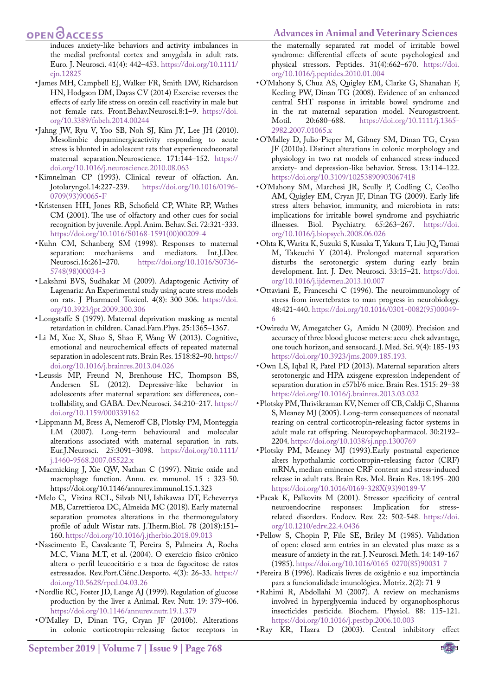# **OPEN**OACCESS

induces anxiety-like behaviors and activity imbalances in the medial prefrontal cortex and amygdala in adult rats. Euro. J. Neurosci. 41(4): 442–453. [https://doi.org/10.1111/](https://doi.org/10.1111/ejn.12825 ) [ejn.12825](https://doi.org/10.1111/ejn.12825 )

- • James MH, Campbell EJ, Walker FR, Smith DW, Richardson HN, Hodgson DM, Dayas CV (2014) Exercise reverses the effects of early life stress on orexin cell reactivity in male but not female rats. Front.Behav.Neurosci.8:1–9. [https://doi.](https://doi.org/10.3389/fnbeh.2014.00244 ) [org/10.3389/fnbeh.2014.00244](https://doi.org/10.3389/fnbeh.2014.00244 )
- <span id="page-7-10"></span>• Jahng JW, Ryu V, Yoo SB, Noh SJ, Kim JY, Lee JH (2010). Mesolimbic dopaminergicactivity responding to acute stress is blunted in adolescent rats that experiencedneonatal maternal separation.Neuroscience. 171:144–152. [https://](https://doi.org/10.1016/j.neuroscience.2010.08.063 ) [doi.org/10.1016/j.neuroscience.2010.08.063](https://doi.org/10.1016/j.neuroscience.2010.08.063 )
- <span id="page-7-13"></span>• Kimnelman CP (1993). Clinical reveur of olfaction. An. Jotolaryngol.14:227-239. https://doi.org/10.1016/0196[https://doi.org/10.1016/0196-](https://doi.org/10.1016/0196-0709(93)90065-F ) [0709\(93\)90065-F](https://doi.org/10.1016/0196-0709(93)90065-F )
- <span id="page-7-12"></span>• Kristensen HH, Jones RB, Schofield CP, White RP, Wathes CM (2001). The use of olfactory and other cues for social recognition by juvenile. Appl. Anim. Behav. Sci. 72:321-333. [https://doi.org/10.1016/S0168-1591\(00\)00209-4](https://doi.org/10.1016/S0168-1591(00)00209-4 )
- <span id="page-7-6"></span>• Kuhn CM, Schanberg SM (1998). Responses to maternal separation: mechanisms and mediators. Int.J.Dev.<br>Neurosci.16:261-270. https://doi.org/10.1016/S0736[https://doi.org/10.1016/S0736-](https://doi.org/10.1016/S0736-5748(98)00034-3 ) [5748\(98\)00034-3](https://doi.org/10.1016/S0736-5748(98)00034-3 )
- <span id="page-7-18"></span>• Lakshmi BVS, Sudhakar M (2009). Adaptogenic Activity of Lagenaria: An Experimental study using acute stress models on rats. J Pharmacol Toxicol. 4(8): 300‐306. [https://doi.](https://doi.org/10.3923/jpt.2009.300.306 ) [org/10.3923/jpt.2009.300.306](https://doi.org/10.3923/jpt.2009.300.306 )
- <span id="page-7-2"></span>• Longstaffe S (1979). Maternal deprivation masking as mental retardation in children. Canad.Fam.Phys. 25:1365–1367.
- <span id="page-7-1"></span>• Li M, Xue X, Shao S, Shao F, Wang W (2013). Cognitive, emotional and neurochemical effects of repeated maternal separation in adolescent rats. Brain Res. 1518:82–90[. https://]( https://doi.org/10.1016/j.brainres.2013.04.026 ) [doi.org/10.1016/j.brainres.2013.04.026]( https://doi.org/10.1016/j.brainres.2013.04.026 )
- <span id="page-7-11"></span>• Leussis MP, Freund N, Brenhouse HC, Thompson BS, Andersen SL (2012). Depressive-like behavior in adolescents after maternal separation: sex differences, controllability, and GABA. Dev.Neurosci. 34:210–217. [https://](https://doi.org/10.1159/000339162 ) [doi.org/10.1159/000339162](https://doi.org/10.1159/000339162 )
- <span id="page-7-4"></span>• Lippmann M, Bress A, Nemeroff CB, Plotsky PM, Monteggia LM (2007). Long-term behavioural and molecular alterations associated with maternal separation in rats. Eur.J.Neurosci. 25:3091–3098. [https://doi.org/10.1111/](https://doi.org/10.1111/j.1460-9568.2007.05522.x ) [j.1460-9568.2007.05522.x](https://doi.org/10.1111/j.1460-9568.2007.05522.x )
- <span id="page-7-19"></span>• Macmicking J, Xie QW, Nathan C (1997). Nitric oxide and macrophage function. Annu. ev. mmunol. 15 : 323-50. https://doi.org/10.1146/annurev.immunol.15.1.323
- <span id="page-7-5"></span>• Melo C, Vizina RCL, Silvab NU, Ishikawaa DT, Echeverrya MB, Carrettieroa DC, Almeida MC (2018). Early maternal separation promotes alterations in the thermoregulatory profile of adult Wistar rats. J.Therm.Biol. 78 (2018):151– 160. [https://doi.org/10.1016/j.jtherbio.2018.09.013](https://doi.org/10.1016/j.jtherbio.2018.09.013 )
- • Nascimento E, Cavalcante T, Pereira S, Palmeira A, Rocha M.C, Viana M.T, et al. (2004). O exercício físico crônico altera o perfil leucocitário e a taxa de fagocitose de ratos estressados. Rev.Port.Ciênc.Desporto. 4(3): 26-33[. https://]( https://doi.org/10.5628/rpcd.04.03.26 ) [doi.org/10.5628/rpcd.04.03.26]( https://doi.org/10.5628/rpcd.04.03.26 )
- <span id="page-7-15"></span>• Nordlie RC, Foster JD, Lange AJ (1999). Regulation of glucose production by the liver a Animal. Rev. Nutr. 19: 379-406. <https://doi.org/10.1146/annurev.nutr.19.1.379>
- • O'Malley D, Dinan TG, Cryan JF (2010b). Alterations in colonic corticotropin-releasing factor receptors in

#### **Advances in Animal and Veterinary Sciences**

the maternally separated rat model of irritable bowel syndrome: differential effects of acute psychological and physical stressors. Peptides. 31(4):662–670. [https://doi.](https://doi.org/10.1016/j.peptides.2010.01.004 ) [org/10.1016/j.peptides.2010.01.004](https://doi.org/10.1016/j.peptides.2010.01.004 )

- • O'Mahony S, Chua AS, Quigley EM, Clarke G, Shanahan F, Keeling PW, Dinan TG (2008). Evidence of an enhanced central 5HT response in irritable bowel syndrome and in the rat maternal separation model. Neurogastroent.<br>Motil. 20:680–688. https://doi.org/10.1111/j.1365[https://doi.org/10.1111/j.1365-](https://doi.org/10.1111/j.1365-2982.2007.01065.x ) [2982.2007.01065.x](https://doi.org/10.1111/j.1365-2982.2007.01065.x )
- • O'Malley D, Julio-Pieper M, Gibney SM, Dinan TG, Cryan JF (2010a). Distinct alterations in colonic morphology and physiology in two rat models of enhanced stress-induced anxiety- and depression-like behavior. Stress. 13:114–122. [https://doi.org/10.3109/10253890903067418](https://doi.org/10.3109/10253890903067418 )
- • O'Mahony SM, Marchesi JR, Scully P, Codling C, Ceolho AM, Quigley EM, Cryan JF, Dinan TG (2009). Early life stress alters behavior, immunity, and microbiota in rats: implications for irritable bowel syndrome and psychiatric illnesses. Biol. Psychiatry. 65:263–267. [https://doi.](https://doi.org/10.1016/j.biopsych.2008.06.026 ) [org/10.1016/j.biopsych.2008.06.026](https://doi.org/10.1016/j.biopsych.2008.06.026 )
- <span id="page-7-7"></span>• Ohta K, Warita K, Suzuki S, Kusaka T, Yakura T, Liu JQ, Tamai M, Takeuchi Y (2014). Prolonged maternal separation disturbs the serotonergic system during early brain development. Int. J. Dev. Neurosci. 33:15–21[. https://doi.]( https://doi.org/10.1016/j.ijdevneu.2013.10.007 ) [org/10.1016/j.ijdevneu.2013.10.007]( https://doi.org/10.1016/j.ijdevneu.2013.10.007 )
- <span id="page-7-17"></span>• Ottaviani E, Franceschi C (1996). The neuroimmunology of stress from invertebrates to man progress in neurobiology. 48:421-440[. https://doi.org/10.1016/0301-0082\(95\)00049-]( https://doi.org/10.1016/0301-0082(95)00049-6 ) [6]( https://doi.org/10.1016/0301-0082(95)00049-6 )
- <span id="page-7-8"></span>• Owiredu W, Amegatcher G, Amidu N (2009). Precision and accuracy of three blood glucose meters: accu-chek advantage, one touch horizon, and sensocard. J. Med. Sci. 9(4): 185-193 <https://doi.org/10.3923/jms.2009.185.193.>
- <span id="page-7-9"></span>• Own LS, Iqbal R, Patel PD (2013). Maternal separation alters serotonergic and HPA axisgene expression independent of separation duration in c57bl/6 mice. Brain Res. 1515: 29–38 [https://doi.org/10.1016/j.brainres.2013.03.032](https://doi.org/10.1016/j.brainres.2013.03.032 )
- <span id="page-7-3"></span>• Plotsky PM, Thrivikraman KV, Nemer off CB, Caldji C, Sharma S, Meaney MJ (2005). Long-term consequences of neonatal rearing on central corticotropin-releasing factor systems in adult male rat offspring. Neuropsychopharmacol. 30:2192– 2204[. https://doi.org/10.1038/sj.npp.1300769]( https://doi.org/10.1038/sj.npp.1300769 )
- <span id="page-7-0"></span>• Plotsky PM, Meaney MJ (1993).Early postnatal experience alters hypothalamic corticotropin-releasing factor (CRF) mRNA, median eminence CRF content and stress-induced release in adult rats. Brain Res. Mol. Brain Res. 18:195–200 [https://doi.org/10.1016/0169-328X\(93\)90189-V](https://doi.org/10.1016/0169-328X(93)90189-V)
- <span id="page-7-14"></span>• Pacak K, Palkovits M (2001). Stressor specificity of central neuroendocrine responses: Implication for stressrelated disorders. Endocv. Rev. 22: 502-548. [https://doi.](https://doi.org/10.1210/edrv.22.4.0436 ) [org/10.1210/edrv.22.4.0436](https://doi.org/10.1210/edrv.22.4.0436 )
- • Pellow S, Chopin P, File SE, Briley M (1985). Validation of open: closed arm entries in an elevated plus-maze as a measure of anxiety in the rat. J. Neurosci. Meth. 14: 149-167 (1985). [https://doi.org/10.1016/0165-0270\(85\)90031-7](https://doi.org/10.1016/0165-0270(85)90031-7 )
- • Pereira B (1996). Radicais livres de oxigênio e sua importância para a funcionalidade imunológica. Motriz. 2(2): 71-9
- <span id="page-7-16"></span>• Rahimi R, Abdollahi M (2007). A review on mechanisms involved in hyperglycemia induced by organophosphorus insecticides pesticide. Biochem. Physiol. 88: 115-121. <https://doi.org/10.1016/j.pestbp.2006.10.003>
- • Ray KR, Hazra D (2003). Central inhibitory effect